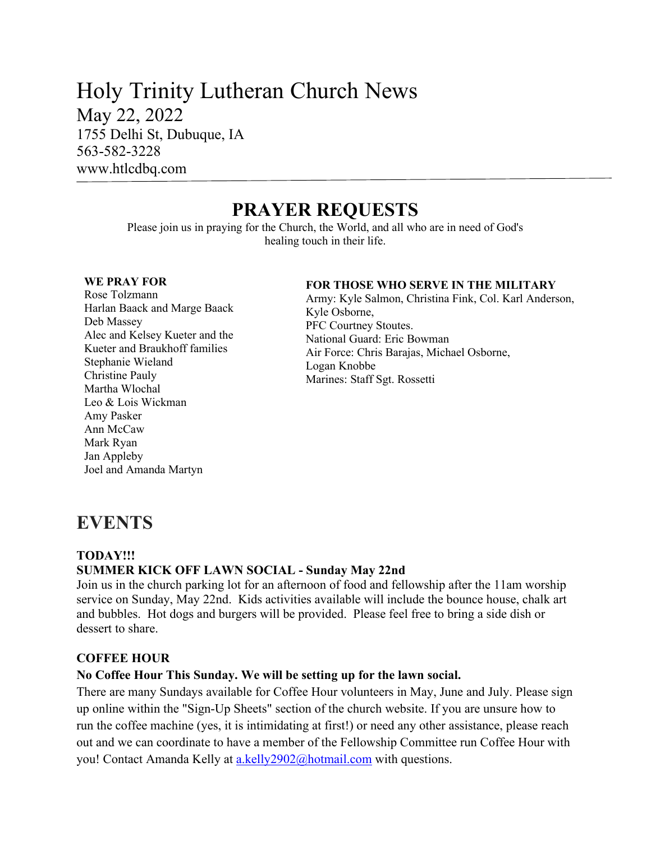## Holy Trinity Lutheran Church News May 22, 2022 1755 Delhi St, Dubuque, IA 563-582-3228 www.htlcdbq.com

# **PRAYER REQUESTS**

Please join us in praying for the Church, the World, and all who are in need of God's healing touch in their life.

#### **WE PRAY FOR**

Rose Tolzmann Harlan Baack and Marge Baack Deb Massey Alec and Kelsey Kueter and the Kueter and Braukhoff families Stephanie Wieland Christine Pauly Martha Wlochal Leo & Lois Wickman Amy Pasker Ann McCaw Mark Ryan Jan Appleby Joel and Amanda Martyn

#### **FOR THOSE WHO SERVE IN THE MILITARY**

Army: Kyle Salmon, Christina Fink, Col. Karl Anderson, Kyle Osborne, PFC Courtney Stoutes. National Guard: Eric Bowman Air Force: Chris Barajas, Michael Osborne, Logan Knobbe Marines: Staff Sgt. Rossetti

# **EVENTS**

#### **TODAY!!! SUMMER KICK OFF LAWN SOCIAL - Sunday May 22nd**

Join us in the church parking lot for an afternoon of food and fellowship after the 11am worship service on Sunday, May 22nd. Kids activities available will include the bounce house, chalk art and bubbles. Hot dogs and burgers will be provided. Please feel free to bring a side dish or dessert to share.

#### **COFFEE HOUR**

### **No Coffee Hour This Sunday. We will be setting up for the lawn social.**

There are many Sundays available for Coffee Hour volunteers in May, June and July. Please sign up online within the "Sign-Up Sheets" section of the church website. If you are unsure how to run the coffee machine (yes, it is intimidating at first!) or need any other assistance, please reach out and we can coordinate to have a member of the Fellowship Committee run Coffee Hour with you! Contact Amanda Kelly at [a.kelly2902@hotmail.com](mailto:a.kelly2902@hotmail.com) with questions.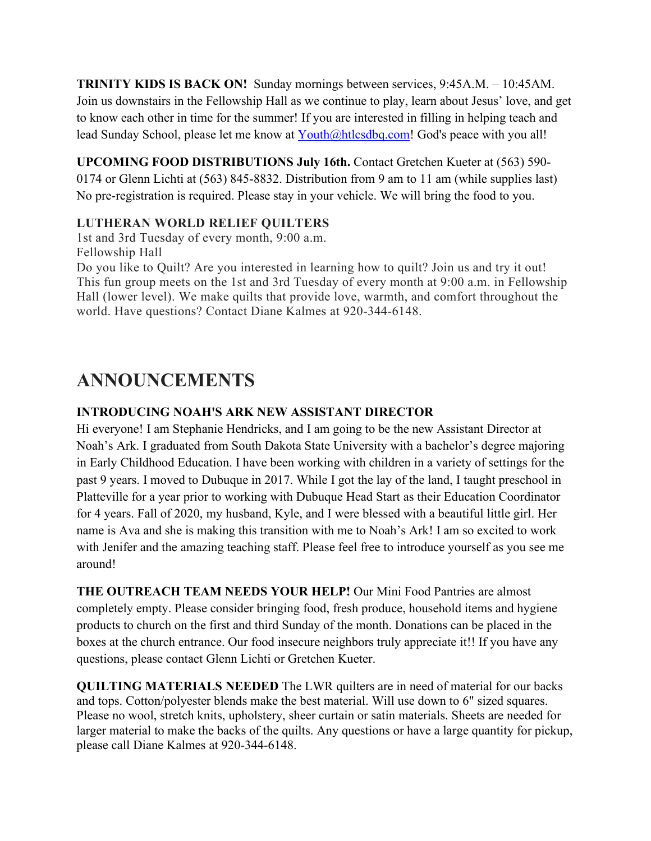**TRINITY KIDS IS BACK ON!** Sunday mornings between services, 9:45A.M. – 10:45AM. Join us downstairs in the Fellowship Hall as we continue to play, learn about Jesus' love, and get to know each other in time for the summer! If you are interested in filling in helping teach and lead Sunday School, please let me know at [Youth@htlcsdbq.com!](mailto:Youth@htlcsdbq.com) God's peace with you all!

**UPCOMING FOOD DISTRIBUTIONS July 16th.** Contact Gretchen Kueter at (563) 590- 0174 or Glenn Lichti at (563) 845-8832. Distribution from 9 am to 11 am (while supplies last) No pre-registration is required. Please stay in your vehicle. We will bring the food to you.

## **LUTHERAN WORLD RELIEF QUILTERS**

1st and 3rd Tuesday of every month, 9:00 a.m. Fellowship Hall

Do you like to Quilt? Are you interested in learning how to quilt? Join us and try it out! This fun group meets on the 1st and 3rd Tuesday of every month at 9:00 a.m. in Fellowship Hall (lower level). We make quilts that provide love, warmth, and comfort throughout the world. Have questions? Contact Diane Kalmes at 920-344-6148.

# **ANNOUNCEMENTS**

## **INTRODUCING NOAH'S ARK NEW ASSISTANT DIRECTOR**

Hi everyone! I am Stephanie Hendricks, and I am going to be the new Assistant Director at Noah's Ark. I graduated from South Dakota State University with a bachelor's degree majoring in Early Childhood Education. I have been working with children in a variety of settings for the past 9 years. I moved to Dubuque in 2017. While I got the lay of the land, I taught preschool in Platteville for a year prior to working with Dubuque Head Start as their Education Coordinator for 4 years. Fall of 2020, my husband, Kyle, and I were blessed with a beautiful little girl. Her name is Ava and she is making this transition with me to Noah's Ark! I am so excited to work with Jenifer and the amazing teaching staff. Please feel free to introduce yourself as you see me around!

**THE OUTREACH TEAM NEEDS YOUR HELP!** Our Mini Food Pantries are almost completely empty. Please consider bringing food, fresh produce, household items and hygiene products to church on the first and third Sunday of the month. Donations can be placed in the boxes at the church entrance. Our food insecure neighbors truly appreciate it!! If you have any questions, please contact Glenn Lichti or Gretchen Kueter.

**QUILTING MATERIALS NEEDED** The LWR quilters are in need of material for our backs and tops. Cotton/polyester blends make the best material. Will use down to 6" sized squares. Please no wool, stretch knits, upholstery, sheer curtain or satin materials. Sheets are needed for larger material to make the backs of the quilts. Any questions or have a large quantity for pickup, please call Diane Kalmes at 920-344-6148.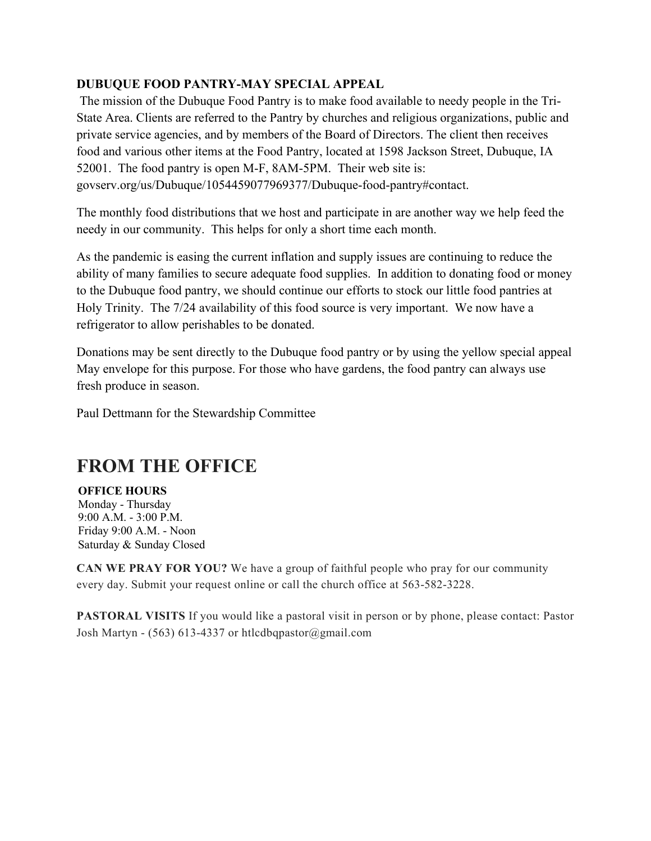### **DUBUQUE FOOD PANTRY-MAY SPECIAL APPEAL**

The mission of the Dubuque Food Pantry is to make food available to needy people in the Tri-State Area. Clients are referred to the Pantry by churches and religious organizations, public and private service agencies, and by members of the Board of Directors. The client then receives food and various other items at the Food Pantry, located at 1598 Jackson Street, Dubuque, IA 52001. The food pantry is open M-F, 8AM-5PM. Their web site is: govserv.org/us/Dubuque/1054459077969377/Dubuque-food-pantry#contact.

The monthly food distributions that we host and participate in are another way we help feed the needy in our community. This helps for only a short time each month.

As the pandemic is easing the current inflation and supply issues are continuing to reduce the ability of many families to secure adequate food supplies. In addition to donating food or money to the Dubuque food pantry, we should continue our efforts to stock our little food pantries at Holy Trinity. The 7/24 availability of this food source is very important. We now have a refrigerator to allow perishables to be donated.

Donations may be sent directly to the Dubuque food pantry or by using the yellow special appeal May envelope for this purpose. For those who have gardens, the food pantry can always use fresh produce in season.

Paul Dettmann for the Stewardship Committee

# **FROM THE OFFICE**

**OFFICE HOURS** Monday - Thursday 9:00 A.M. - 3:00 P.M. Friday 9:00 A.M. - Noon Saturday & Sunday Closed

**CAN WE PRAY FOR YOU?** We have a group of faithful people who pray for our community every day. Submit your request online or call the church office at 563-582-3228.

**PASTORAL VISITS** If you would like a pastoral visit in person or by phone, please contact: Pastor Josh Martyn - (563) 613-4337 or htlcdbqpastor@gmail.com